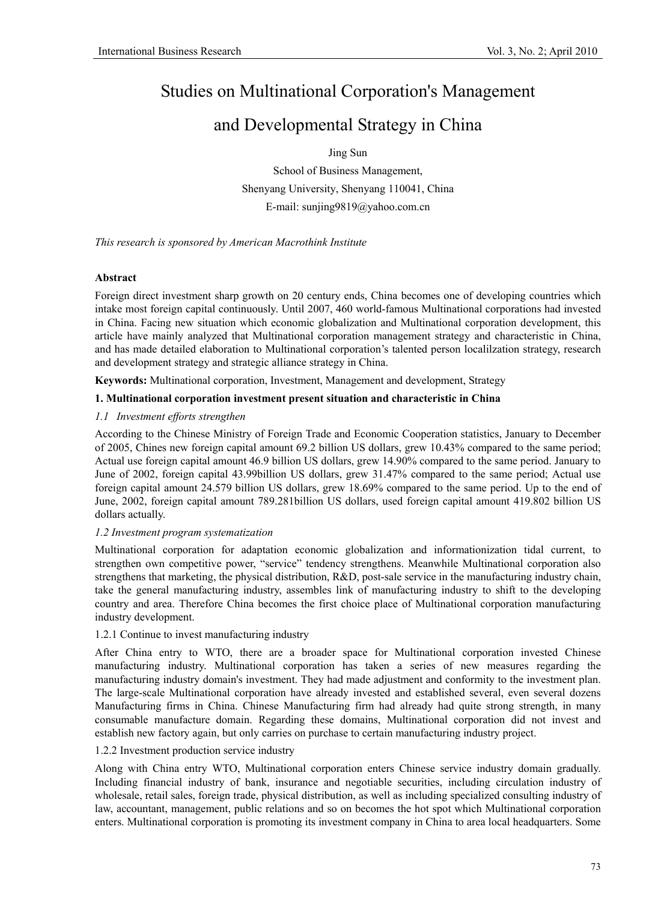# Studies on Multinational Corporation's Management

# and Developmental Strategy in China

Jing Sun

School of Business Management, Shenyang University, Shenyang 110041, China E-mail: sunjing9819@yahoo.com.cn

*This research is sponsored by American Macrothink Institute* 

# **Abstract**

Foreign direct investment sharp growth on 20 century ends, China becomes one of developing countries which intake most foreign capital continuously. Until 2007, 460 world-famous Multinational corporations had invested in China. Facing new situation which economic globalization and Multinational corporation development, this article have mainly analyzed that Multinational corporation management strategy and characteristic in China, and has made detailed elaboration to Multinational corporation's talented person localilzation strategy, research and development strategy and strategic alliance strategy in China.

**Keywords:** Multinational corporation, Investment, Management and development, Strategy

# **1. Multinational corporation investment present situation and characteristic in China**

# *1.1 Investment efforts strengthen*

According to the Chinese Ministry of Foreign Trade and Economic Cooperation statistics, January to December of 2005, Chines new foreign capital amount 69.2 billion US dollars, grew 10.43% compared to the same period; Actual use foreign capital amount 46.9 billion US dollars, grew 14.90% compared to the same period. January to June of 2002, foreign capital 43.99billion US dollars, grew 31.47% compared to the same period; Actual use foreign capital amount 24.579 billion US dollars, grew 18.69% compared to the same period. Up to the end of June, 2002, foreign capital amount 789.281billion US dollars, used foreign capital amount 419.802 billion US dollars actually.

# *1.2 Investment program systematization*

Multinational corporation for adaptation economic globalization and informationization tidal current, to strengthen own competitive power, "service" tendency strengthens. Meanwhile Multinational corporation also strengthens that marketing, the physical distribution, R&D, post-sale service in the manufacturing industry chain, take the general manufacturing industry, assembles link of manufacturing industry to shift to the developing country and area. Therefore China becomes the first choice place of Multinational corporation manufacturing industry development.

# 1.2.1 Continue to invest manufacturing industry

After China entry to WTO, there are a broader space for Multinational corporation invested Chinese manufacturing industry. Multinational corporation has taken a series of new measures regarding the manufacturing industry domain's investment. They had made adjustment and conformity to the investment plan. The large-scale Multinational corporation have already invested and established several, even several dozens Manufacturing firms in China. Chinese Manufacturing firm had already had quite strong strength, in many consumable manufacture domain. Regarding these domains, Multinational corporation did not invest and establish new factory again, but only carries on purchase to certain manufacturing industry project.

# 1.2.2 Investment production service industry

Along with China entry WTO, Multinational corporation enters Chinese service industry domain gradually. Including financial industry of bank, insurance and negotiable securities, including circulation industry of wholesale, retail sales, foreign trade, physical distribution, as well as including specialized consulting industry of law, accountant, management, public relations and so on becomes the hot spot which Multinational corporation enters. Multinational corporation is promoting its investment company in China to area local headquarters. Some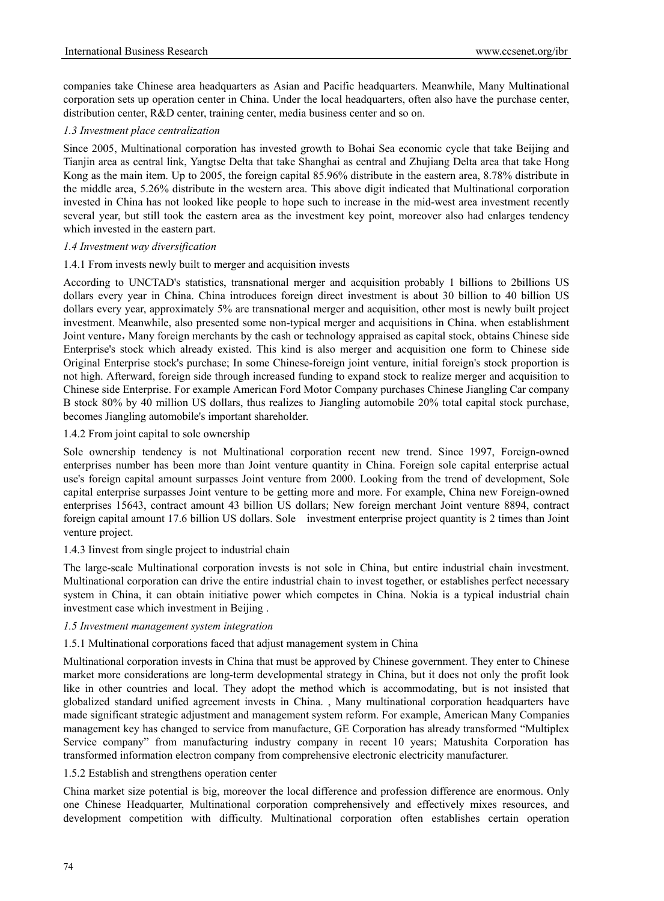companies take Chinese area headquarters as Asian and Pacific headquarters. Meanwhile, Many Multinational corporation sets up operation center in China. Under the local headquarters, often also have the purchase center, distribution center, R&D center, training center, media business center and so on.

## *1.3 Investment place centralization*

Since 2005, Multinational corporation has invested growth to Bohai Sea economic cycle that take Beijing and Tianjin area as central link, Yangtse Delta that take Shanghai as central and Zhujiang Delta area that take Hong Kong as the main item. Up to 2005, the foreign capital 85.96% distribute in the eastern area, 8.78% distribute in the middle area, 5.26% distribute in the western area. This above digit indicated that Multinational corporation invested in China has not looked like people to hope such to increase in the mid-west area investment recently several year, but still took the eastern area as the investment key point, moreover also had enlarges tendency which invested in the eastern part.

## *1.4 Investment way diversification*

## 1.4.1 From invests newly built to merger and acquisition invests

According to UNCTAD's statistics, transnational merger and acquisition probably 1 billions to 2billions US dollars every year in China. China introduces foreign direct investment is about 30 billion to 40 billion US dollars every year, approximately 5% are transnational merger and acquisition, other most is newly built project investment. Meanwhile, also presented some non-typical merger and acquisitions in China. when establishment Joint venture, Many foreign merchants by the cash or technology appraised as capital stock, obtains Chinese side Enterprise's stock which already existed. This kind is also merger and acquisition one form to Chinese side Original Enterprise stock's purchase; In some Chinese-foreign joint venture, initial foreign's stock proportion is not high. Afterward, foreign side through increased funding to expand stock to realize merger and acquisition to Chinese side Enterprise. For example American Ford Motor Company purchases Chinese Jiangling Car company B stock 80% by 40 million US dollars, thus realizes to Jiangling automobile 20% total capital stock purchase, becomes Jiangling automobile's important shareholder.

## 1.4.2 From joint capital to sole ownership

Sole ownership tendency is not Multinational corporation recent new trend. Since 1997, Foreign-owned enterprises number has been more than Joint venture quantity in China. Foreign sole capital enterprise actual use's foreign capital amount surpasses Joint venture from 2000. Looking from the trend of development, Sole capital enterprise surpasses Joint venture to be getting more and more. For example, China new Foreign-owned enterprises 15643, contract amount 43 billion US dollars; New foreign merchant Joint venture 8894, contract foreign capital amount 17.6 billion US dollars. Sole investment enterprise project quantity is 2 times than Joint venture project.

#### 1.4.3 Iinvest from single project to industrial chain

The large-scale Multinational corporation invests is not sole in China, but entire industrial chain investment. Multinational corporation can drive the entire industrial chain to invest together, or establishes perfect necessary system in China, it can obtain initiative power which competes in China. Nokia is a typical industrial chain investment case which investment in Beijing .

#### *1.5 Investment management system integration*

# 1.5.1 Multinational corporations faced that adjust management system in China

Multinational corporation invests in China that must be approved by Chinese government. They enter to Chinese market more considerations are long-term developmental strategy in China, but it does not only the profit look like in other countries and local. They adopt the method which is accommodating, but is not insisted that globalized standard unified agreement invests in China. , Many multinational corporation headquarters have made significant strategic adjustment and management system reform. For example, American Many Companies management key has changed to service from manufacture, GE Corporation has already transformed "Multiplex Service company" from manufacturing industry company in recent 10 years; Matushita Corporation has transformed information electron company from comprehensive electronic electricity manufacturer.

# 1.5.2 Establish and strengthens operation center

China market size potential is big, moreover the local difference and profession difference are enormous. Only one Chinese Headquarter, Multinational corporation comprehensively and effectively mixes resources, and development competition with difficulty. Multinational corporation often establishes certain operation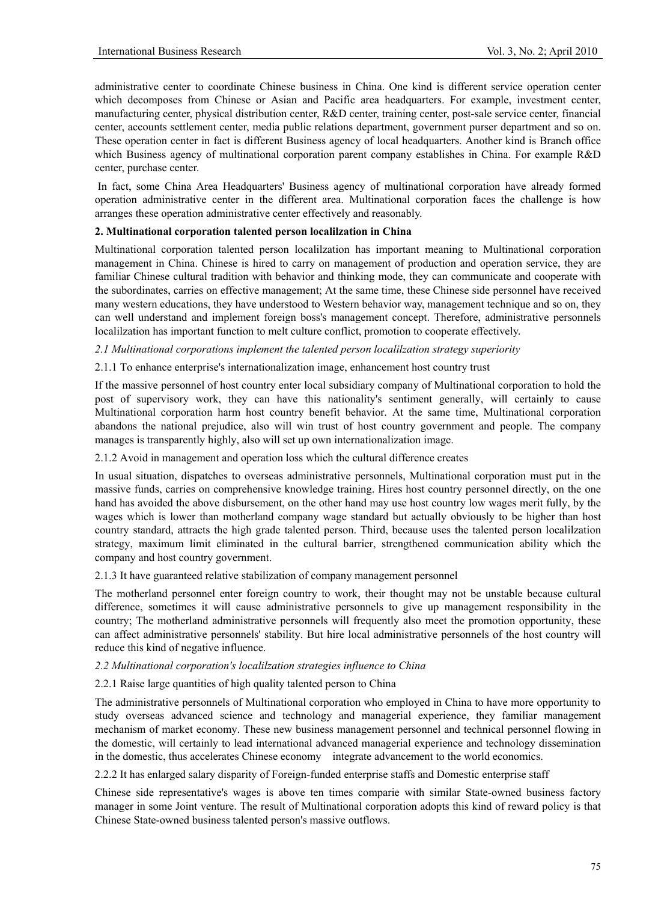administrative center to coordinate Chinese business in China. One kind is different service operation center which decomposes from Chinese or Asian and Pacific area headquarters. For example, investment center, manufacturing center, physical distribution center, R&D center, training center, post-sale service center, financial center, accounts settlement center, media public relations department, government purser department and so on. These operation center in fact is different Business agency of local headquarters. Another kind is Branch office which Business agency of multinational corporation parent company establishes in China. For example R&D center, purchase center.

 In fact, some China Area Headquarters' Business agency of multinational corporation have already formed operation administrative center in the different area. Multinational corporation faces the challenge is how arranges these operation administrative center effectively and reasonably.

### **2. Multinational corporation talented person localilzation in China**

Multinational corporation talented person localilzation has important meaning to Multinational corporation management in China. Chinese is hired to carry on management of production and operation service, they are familiar Chinese cultural tradition with behavior and thinking mode, they can communicate and cooperate with the subordinates, carries on effective management; At the same time, these Chinese side personnel have received many western educations, they have understood to Western behavior way, management technique and so on, they can well understand and implement foreign boss's management concept. Therefore, administrative personnels localilzation has important function to melt culture conflict, promotion to cooperate effectively.

## *2.1 Multinational corporations implement the talented person localilzation strategy superiority*

## 2.1.1 To enhance enterprise's internationalization image, enhancement host country trust

If the massive personnel of host country enter local subsidiary company of Multinational corporation to hold the post of supervisory work, they can have this nationality's sentiment generally, will certainly to cause Multinational corporation harm host country benefit behavior. At the same time, Multinational corporation abandons the national prejudice, also will win trust of host country government and people. The company manages is transparently highly, also will set up own internationalization image.

## 2.1.2 Avoid in management and operation loss which the cultural difference creates

In usual situation, dispatches to overseas administrative personnels, Multinational corporation must put in the massive funds, carries on comprehensive knowledge training. Hires host country personnel directly, on the one hand has avoided the above disbursement, on the other hand may use host country low wages merit fully, by the wages which is lower than motherland company wage standard but actually obviously to be higher than host country standard, attracts the high grade talented person. Third, because uses the talented person localilzation strategy, maximum limit eliminated in the cultural barrier, strengthened communication ability which the company and host country government.

### 2.1.3 It have guaranteed relative stabilization of company management personnel

The motherland personnel enter foreign country to work, their thought may not be unstable because cultural difference, sometimes it will cause administrative personnels to give up management responsibility in the country; The motherland administrative personnels will frequently also meet the promotion opportunity, these can affect administrative personnels' stability. But hire local administrative personnels of the host country will reduce this kind of negative influence.

#### *2.2 Multinational corporation's localilzation strategies influence to China*

# 2.2.1 Raise large quantities of high quality talented person to China

The administrative personnels of Multinational corporation who employed in China to have more opportunity to study overseas advanced science and technology and managerial experience, they familiar management mechanism of market economy. These new business management personnel and technical personnel flowing in the domestic, will certainly to lead international advanced managerial experience and technology dissemination in the domestic, thus accelerates Chinese economy integrate advancement to the world economics.

2.2.2 It has enlarged salary disparity of Foreign-funded enterprise staffs and Domestic enterprise staff

Chinese side representative's wages is above ten times comparie with similar State-owned business factory manager in some Joint venture. The result of Multinational corporation adopts this kind of reward policy is that Chinese State-owned business talented person's massive outflows.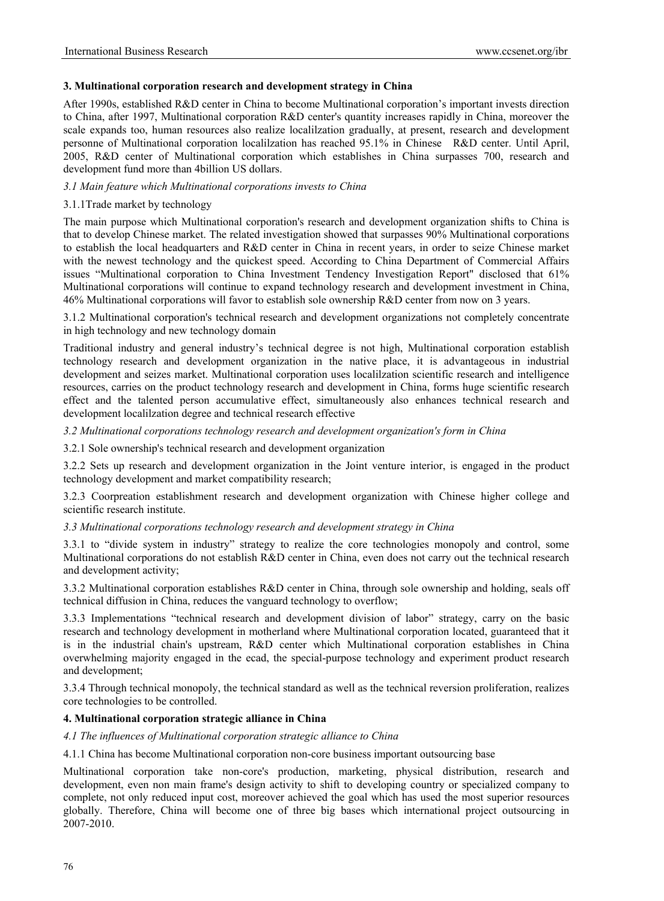## **3. Multinational corporation research and development strategy in China**

After 1990s, established R&D center in China to become Multinational corporation's important invests direction to China, after 1997, Multinational corporation R&D center's quantity increases rapidly in China, moreover the scale expands too, human resources also realize localilzation gradually, at present, research and development personne of Multinational corporation localilzation has reached 95.1% in Chinese R&D center. Until April, 2005, R&D center of Multinational corporation which establishes in China surpasses 700, research and development fund more than 4billion US dollars.

#### *3.1 Main feature which Multinational corporations invests to China*

## 3.1.1Trade market by technology

The main purpose which Multinational corporation's research and development organization shifts to China is that to develop Chinese market. The related investigation showed that surpasses 90% Multinational corporations to establish the local headquarters and R&D center in China in recent years, in order to seize Chinese market with the newest technology and the quickest speed. According to China Department of Commercial Affairs issues "Multinational corporation to China Investment Tendency Investigation Report" disclosed that 61% Multinational corporations will continue to expand technology research and development investment in China, 46% Multinational corporations will favor to establish sole ownership R&D center from now on 3 years.

3.1.2 Multinational corporation's technical research and development organizations not completely concentrate in high technology and new technology domain

Traditional industry and general industry's technical degree is not high, Multinational corporation establish technology research and development organization in the native place, it is advantageous in industrial development and seizes market. Multinational corporation uses localilzation scientific research and intelligence resources, carries on the product technology research and development in China, forms huge scientific research effect and the talented person accumulative effect, simultaneously also enhances technical research and development localilzation degree and technical research effective

*3.2 Multinational corporations technology research and development organization's form in China*

3.2.1 Sole ownership's technical research and development organization

3.2.2 Sets up research and development organization in the Joint venture interior, is engaged in the product technology development and market compatibility research;

3.2.3 Coorpreation establishment research and development organization with Chinese higher college and scientific research institute.

#### *3.3 Multinational corporations technology research and development strategy in China*

3.3.1 to "divide system in industry" strategy to realize the core technologies monopoly and control, some Multinational corporations do not establish R&D center in China, even does not carry out the technical research and development activity;

3.3.2 Multinational corporation establishes R&D center in China, through sole ownership and holding, seals off technical diffusion in China, reduces the vanguard technology to overflow;

3.3.3 Implementations "technical research and development division of labor" strategy, carry on the basic research and technology development in motherland where Multinational corporation located, guaranteed that it is in the industrial chain's upstream, R&D center which Multinational corporation establishes in China overwhelming majority engaged in the ecad, the special-purpose technology and experiment product research and development;

3.3.4 Through technical monopoly, the technical standard as well as the technical reversion proliferation, realizes core technologies to be controlled.

#### **4. Multinational corporation strategic alliance in China**

## *4.1 The influences of Multinational corporation strategic alliance to China*

4.1.1 China has become Multinational corporation non-core business important outsourcing base

Multinational corporation take non-core's production, marketing, physical distribution, research and development, even non main frame's design activity to shift to developing country or specialized company to complete, not only reduced input cost, moreover achieved the goal which has used the most superior resources globally. Therefore, China will become one of three big bases which international project outsourcing in 2007-2010.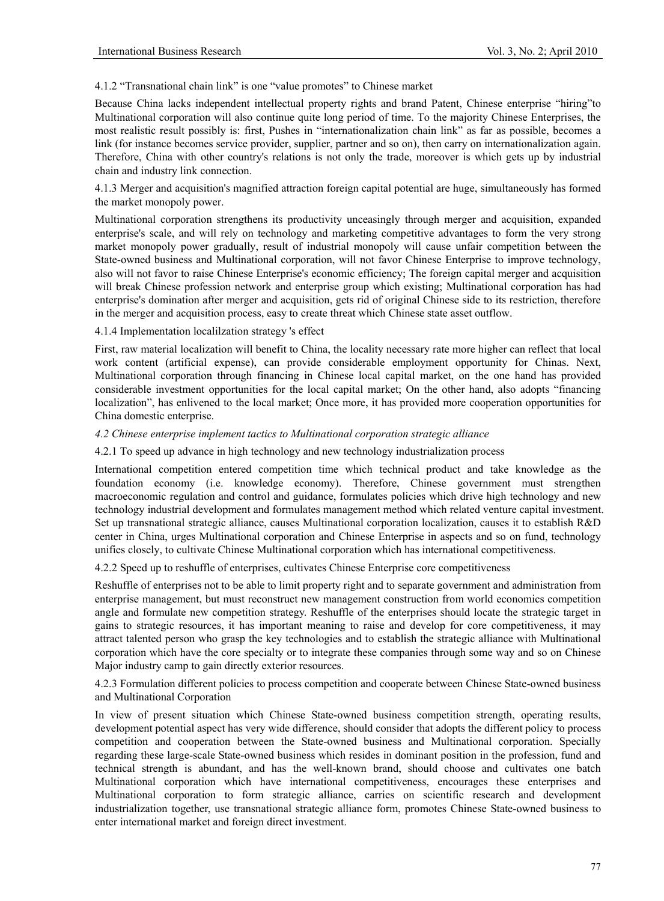#### 4.1.2 "Transnational chain link" is one "value promotes" to Chinese market

Because China lacks independent intellectual property rights and brand Patent, Chinese enterprise "hiring"to Multinational corporation will also continue quite long period of time. To the majority Chinese Enterprises, the most realistic result possibly is: first, Pushes in "internationalization chain link" as far as possible, becomes a link (for instance becomes service provider, supplier, partner and so on), then carry on internationalization again. Therefore, China with other country's relations is not only the trade, moreover is which gets up by industrial chain and industry link connection.

4.1.3 Merger and acquisition's magnified attraction foreign capital potential are huge, simultaneously has formed the market monopoly power.

Multinational corporation strengthens its productivity unceasingly through merger and acquisition, expanded enterprise's scale, and will rely on technology and marketing competitive advantages to form the very strong market monopoly power gradually, result of industrial monopoly will cause unfair competition between the State-owned business and Multinational corporation, will not favor Chinese Enterprise to improve technology, also will not favor to raise Chinese Enterprise's economic efficiency; The foreign capital merger and acquisition will break Chinese profession network and enterprise group which existing; Multinational corporation has had enterprise's domination after merger and acquisition, gets rid of original Chinese side to its restriction, therefore in the merger and acquisition process, easy to create threat which Chinese state asset outflow.

4.1.4 Implementation localilzation strategy 's effect

First, raw material localization will benefit to China, the locality necessary rate more higher can reflect that local work content (artificial expense), can provide considerable employment opportunity for Chinas. Next, Multinational corporation through financing in Chinese local capital market, on the one hand has provided considerable investment opportunities for the local capital market; On the other hand, also adopts "financing localization", has enlivened to the local market; Once more, it has provided more cooperation opportunities for China domestic enterprise.

## *4.2 Chinese enterprise implement tactics to Multinational corporation strategic alliance*

### 4.2.1 To speed up advance in high technology and new technology industrialization process

International competition entered competition time which technical product and take knowledge as the foundation economy (i.e. knowledge economy). Therefore, Chinese government must strengthen macroeconomic regulation and control and guidance, formulates policies which drive high technology and new technology industrial development and formulates management method which related venture capital investment. Set up transnational strategic alliance, causes Multinational corporation localization, causes it to establish R&D center in China, urges Multinational corporation and Chinese Enterprise in aspects and so on fund, technology unifies closely, to cultivate Chinese Multinational corporation which has international competitiveness.

## 4.2.2 Speed up to reshuffle of enterprises, cultivates Chinese Enterprise core competitiveness

Reshuffle of enterprises not to be able to limit property right and to separate government and administration from enterprise management, but must reconstruct new management construction from world economics competition angle and formulate new competition strategy. Reshuffle of the enterprises should locate the strategic target in gains to strategic resources, it has important meaning to raise and develop for core competitiveness, it may attract talented person who grasp the key technologies and to establish the strategic alliance with Multinational corporation which have the core specialty or to integrate these companies through some way and so on Chinese Major industry camp to gain directly exterior resources.

4.2.3 Formulation different policies to process competition and cooperate between Chinese State-owned business and Multinational Corporation

In view of present situation which Chinese State-owned business competition strength, operating results, development potential aspect has very wide difference, should consider that adopts the different policy to process competition and cooperation between the State-owned business and Multinational corporation. Specially regarding these large-scale State-owned business which resides in dominant position in the profession, fund and technical strength is abundant, and has the well-known brand, should choose and cultivates one batch Multinational corporation which have international competitiveness, encourages these enterprises and Multinational corporation to form strategic alliance, carries on scientific research and development industrialization together, use transnational strategic alliance form, promotes Chinese State-owned business to enter international market and foreign direct investment.